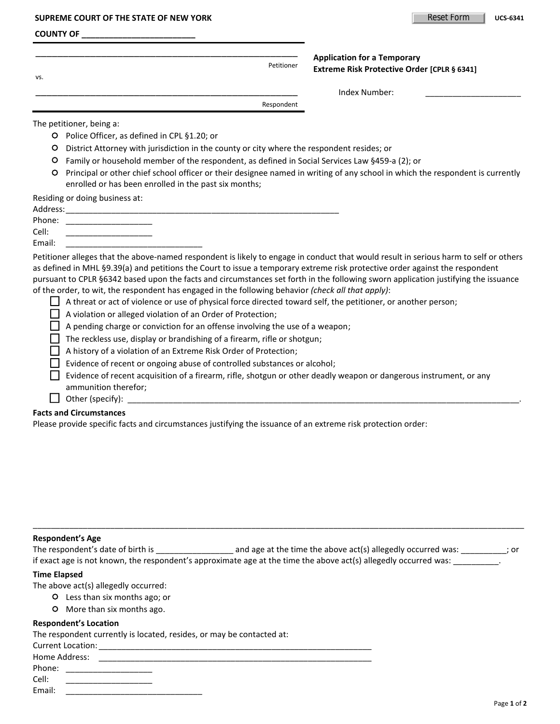#### **SUPREME COURT OF THE STATE OF NEW YORK UCS-6341 UCS-6341 UCS-6341**

#### **COUNTY OF \_\_\_\_\_\_\_\_\_\_\_\_\_\_\_\_\_\_\_\_\_\_\_\_\_**

| VS. | <b>Application for a Temporary</b><br>Petitioner<br>Extreme Risk Protective Order [CPLR § 6341] |  |
|-----|-------------------------------------------------------------------------------------------------|--|
|     | Index Number:                                                                                   |  |

Respondent

The petitioner, being a:

- Police Officer, as defined in CPL §1.20; or
- District Attorney with jurisdiction in the county or city where the respondent resides; or
- Family or household member of the respondent, as defined in Social Services Law §459-a (2); or
- Principal or other chief school officer or their designee named in writing of any school in which the respondent is currently enrolled or has been enrolled in the past six months;

Residing or doing business at:

| Address: |  |
|----------|--|
| Phone:   |  |
| Cell:    |  |

Email:

Petitioner alleges that the above-named respondent is likely to engage in conduct that would result in serious harm to self or others as defined in MHL §9.39(a) and petitions the Court to issue a temporary extreme risk protective order against the respondent pursuant to CPLR §6342 based upon the facts and circumstances set forth in the following sworn application justifying the issuance of the order, to wit, the respondent has engaged in the following behavior *(check all that apply)*:

 $\Box$  A threat or act of violence or use of physical force directed toward self, the petitioner, or another person;

A violation or alleged violation of an Order of Protection;

 $\Box$  A pending charge or conviction for an offense involving the use of a weapon;

 $\Box$  The reckless use, display or brandishing of a firearm, rifle or shotgun;

A history of a violation of an Extreme Risk Order of Protection;

 $\Box$  Evidence of recent or ongoing abuse of controlled substances or alcohol;

Evidence of recent acquisition of a firearm, rifle, shotgun or other deadly weapon or dangerous instrument, or any ammunition therefor;

## $\Box$  Other (specify):

## **Facts and Circumstances**

Please provide specific facts and circumstances justifying the issuance of an extreme risk protection order:

### **Respondent's Age**

The respondent's date of birth is \_\_\_\_\_\_\_\_\_\_\_\_\_\_\_\_\_\_\_\_\_\_\_ and age at the time the above act(s) allegedly occurred was: \_\_\_\_\_\_\_\_\_\_\_; or if exact age is not known, the respondent's approximate age at the time the above act(s) allegedly occurred was: \_\_\_\_\_\_\_\_\_\_.

\_\_\_\_\_\_\_\_\_\_\_\_\_\_\_\_\_\_\_\_\_\_\_\_\_\_\_\_\_\_\_\_\_\_\_\_\_\_\_\_\_\_\_\_\_\_\_\_\_\_\_\_\_\_\_\_\_\_\_\_\_\_\_\_\_\_\_\_\_\_\_\_\_\_\_\_\_\_\_\_\_\_\_\_\_\_\_\_\_\_\_\_\_\_\_\_\_\_\_\_\_\_\_\_\_\_\_\_

### **Time Elapsed**

The above act(s) allegedly occurred:

- Less than six months ago; or
- O More than six months ago.

### **Respondent's Location**

The respondent currently is located, resides, or may be contacted at:

| <b>Current Location:</b> |  |
|--------------------------|--|
| Home Address:            |  |
| Phone:                   |  |

| Cell:  |  |
|--------|--|
| Email: |  |